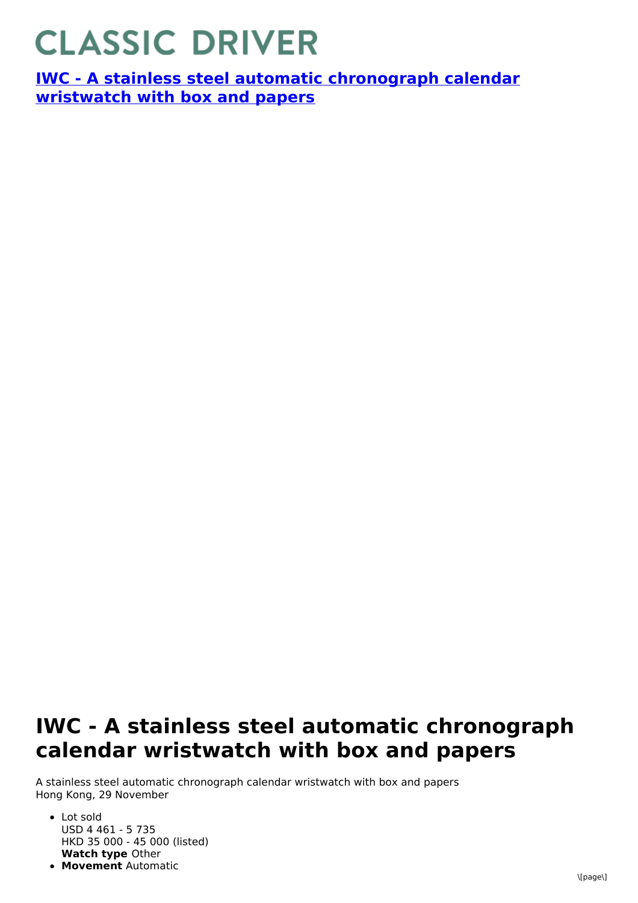## **CLASSIC DRIVER**

**IWC - A stainless steel automatic [chronograph](https://www.classicdriver.com/en/watch/iwc/266931) calendar wristwatch with box and papers**

## **IWC - A stainless steel automatic chronograph calendar wristwatch with box and papers**

A stainless steel automatic chronograph calendar wristwatch with box and papers Hong Kong, 29 November

- **Watch type** Other • Lot sold USD 4 461 - 5 735 HKD 35 000 - 45 000 (listed)
- **Movement** Automatic